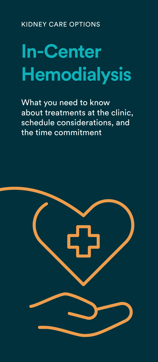KIDNEY CARE OPTIONS

# **In-Center Hemodialysis**

What you need to know about treatments at the clinic, schedule considerations, and the time commitment

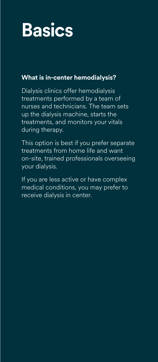# **Basics**

### **What is in-center hemodialysis?**

Dialysis clinics offer hemodialysis treatments performed by a team of nurses and technicians. The team sets up the dialysis machine, starts the treatments, and monitors your vitals during therapy.

This option is best if you prefer separate treatments from home life and want on-site, trained professionals overseeing your dialysis.

If you are less active or have complex medical conditions, you may prefer to receive dialysis in center.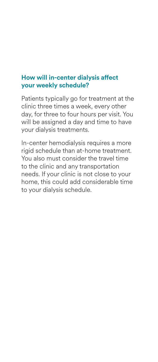#### **How will in-center dialysis affect your weekly schedule?**

Patients typically go for treatment at the clinic three times a week, every other day, for three to four hours per visit. You will be assigned a day and time to have your dialysis treatments.

In-center hemodialysis requires a more rigid schedule than at-home treatment. You also must consider the travel time to the clinic and any transportation needs. If your clinic is not close to your home, this could add considerable time to your dialysis schedule.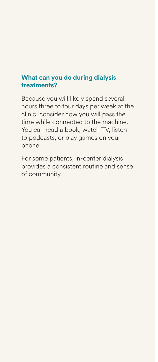#### **What can you do during dialysis treatments?**

Because you will likely spend several hours three to four days per week at the clinic, consider how you will pass the time while connected to the machine. You can read a book, watch TV, listen to podcasts, or play games on your phone.

For some patients, in-center dialysis provides a consistent routine and sense of community.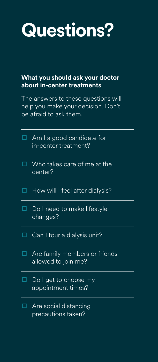## **Questions?**

#### **What you should ask your doctor about in-center treatments**

The answers to these questions will help you make your decision. Don't be afraid to ask them.

| п | Am I a good candidate for<br>in-center treatment?    |
|---|------------------------------------------------------|
| П | Who takes care of me at the<br>center?               |
|   | How will I feel after dialysis?                      |
| П | Do I need to make lifestyle<br>changes?              |
|   | Can I tour a dialysis unit?                          |
| П | Are family members or friends<br>allowed to join me? |
|   | Do I get to choose my<br>appointment times?          |
|   | Are social distancing<br>precautions taken?          |